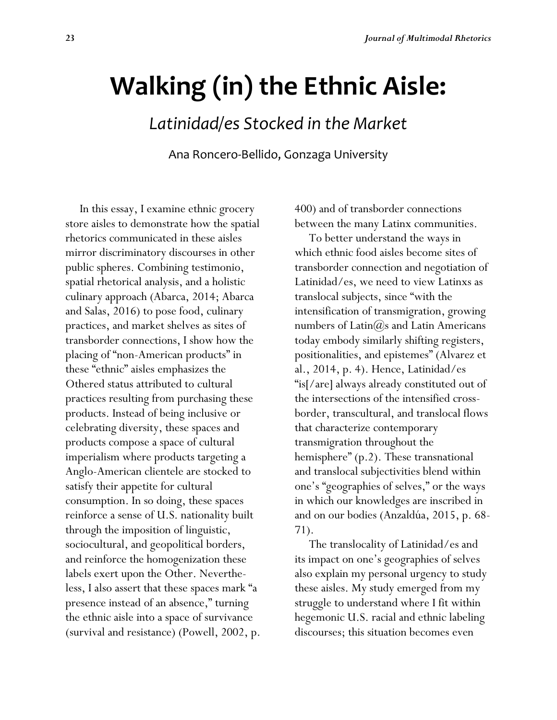# **Walking (in) the Ethnic Aisle:**

*Latinidad/es Stocked in the Market*

Ana Roncero-Bellido, Gonzaga University

 In this essay, I examine ethnic grocery store aisles to demonstrate how the spatial rhetorics communicated in these aisles mirror discriminatory discourses in other public spheres. Combining testimonio, spatial rhetorical analysis, and a holistic culinary approach (Abarca, 2014; Abarca and Salas, 2016) to pose food, culinary practices, and market shelves as sites of transborder connections, I show how the placing of "non-American products" in these "ethnic" aisles emphasizes the Othered status attributed to cultural practices resulting from purchasing these products. Instead of being inclusive or celebrating diversity, these spaces and products compose a space of cultural imperialism where products targeting a Anglo-American clientele are stocked to satisfy their appetite for cultural consumption. In so doing, these spaces reinforce a sense of U.S. nationality built through the imposition of linguistic, sociocultural, and geopolitical borders, and reinforce the homogenization these labels exert upon the Other. Nevertheless, I also assert that these spaces mark "a presence instead of an absence," turning the ethnic aisle into a space of survivance (survival and resistance) (Powell, 2002, p. 400) and of transborder connections between the many Latinx communities.

 To better understand the ways in which ethnic food aisles become sites of transborder connection and negotiation of Latinidad/es, we need to view Latinxs as translocal subjects, since "with the intensification of transmigration, growing numbers of Latin $(a)$ s and Latin Americans today embody similarly shifting registers, positionalities, and epistemes" (Alvarez et al., 2014, p. 4). Hence, Latinidad/es "is[/are] always already constituted out of the intersections of the intensified crossborder, transcultural, and translocal flows that characterize contemporary transmigration throughout the hemisphere" (p.2). These transnational and translocal subjectivities blend within one's "geographies of selves," or the ways in which our knowledges are inscribed in and on our bodies (Anzaldúa, 2015, p. 68- 71).

 The translocality of Latinidad/es and its impact on one's geographies of selves also explain my personal urgency to study these aisles. My study emerged from my struggle to understand where I fit within hegemonic U.S. racial and ethnic labeling discourses; this situation becomes even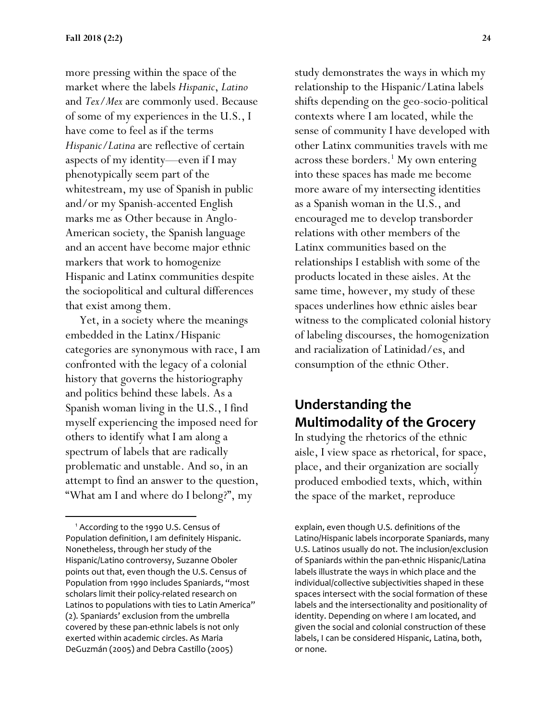more pressing within the space of the market where the labels *Hispanic*, *Latino* and *Tex/Mex* are commonly used. Because of some of my experiences in the U.S., I have come to feel as if the terms *Hispanic/Latina* are reflective of certain aspects of my identity—even if I may phenotypically seem part of the whitestream, my use of Spanish in public and/or my Spanish-accented English marks me as Other because in Anglo-American society, the Spanish language and an accent have become major ethnic markers that work to homogenize Hispanic and Latinx communities despite the sociopolitical and cultural differences that exist among them.

 Yet, in a society where the meanings embedded in the Latinx/Hispanic categories are synonymous with race, I am confronted with the legacy of a colonial history that governs the historiography and politics behind these labels. As a Spanish woman living in the U.S., I find myself experiencing the imposed need for others to identify what I am along a spectrum of labels that are radically problematic and unstable. And so, in an attempt to find an answer to the question, "What am I and where do I belong?", my

study demonstrates the ways in which my relationship to the Hispanic/Latina labels shifts depending on the geo-socio-political contexts where I am located, while the sense of community I have developed with other Latinx communities travels with me across these borders.<sup>1</sup> My own entering into these spaces has made me become more aware of my intersecting identities as a Spanish woman in the U.S., and encouraged me to develop transborder relations with other members of the Latinx communities based on the relationships I establish with some of the products located in these aisles. At the same time, however, my study of these spaces underlines how ethnic aisles bear witness to the complicated colonial history of labeling discourses, the homogenization and racialization of Latinidad/es, and consumption of the ethnic Other.

## **Understanding the Multimodality of the Grocery**

In studying the rhetorics of the ethnic aisle, I view space as rhetorical, for space, place, and their organization are socially produced embodied texts, which, within the space of the market, reproduce

<sup>1</sup> According to the 1990 U.S. Census of Population definition, I am definitely Hispanic. Nonetheless, through her study of the Hispanic/Latino controversy, Suzanne Oboler points out that, even though the U.S. Census of Population from 1990 includes Spaniards, "most scholars limit their policy-related research on Latinos to populations with ties to Latin America" (2). Spaniards' exclusion from the umbrella covered by these pan-ethnic labels is not only exerted within academic circles. As Maria DeGuzmán (2005) and Debra Castillo (2005)

explain, even though U.S. definitions of the Latino/Hispanic labels incorporate Spaniards, many U.S. Latinos usually do not. The inclusion/exclusion of Spaniards within the pan-ethnic Hispanic/Latina labels illustrate the ways in which place and the individual/collective subjectivities shaped in these spaces intersect with the social formation of these labels and the intersectionality and positionality of identity. Depending on where I am located, and given the social and colonial construction of these labels, I can be considered Hispanic, Latina, both, or none.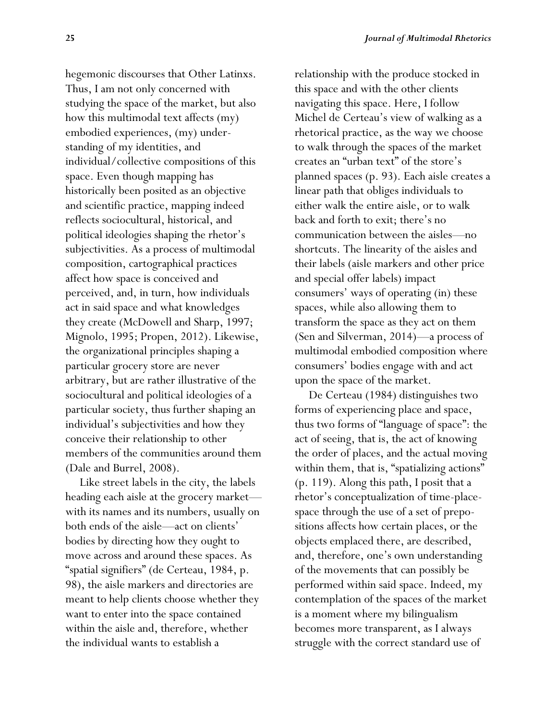hegemonic discourses that Other Latinxs. Thus, I am not only concerned with studying the space of the market, but also how this multimodal text affects (my) embodied experiences, (my) understanding of my identities, and individual/collective compositions of this space. Even though mapping has historically been posited as an objective and scientific practice, mapping indeed reflects sociocultural, historical, and political ideologies shaping the rhetor's subjectivities. As a process of multimodal composition, cartographical practices affect how space is conceived and perceived, and, in turn, how individuals act in said space and what knowledges they create (McDowell and Sharp, 1997; Mignolo, 1995; Propen, 2012). Likewise, the organizational principles shaping a particular grocery store are never arbitrary, but are rather illustrative of the sociocultural and political ideologies of a particular society, thus further shaping an individual's subjectivities and how they conceive their relationship to other members of the communities around them (Dale and Burrel, 2008).

 Like street labels in the city, the labels heading each aisle at the grocery market with its names and its numbers, usually on both ends of the aisle—act on clients' bodies by directing how they ought to move across and around these spaces. As "spatial signifiers" (de Certeau, 1984, p. 98), the aisle markers and directories are meant to help clients choose whether they want to enter into the space contained within the aisle and, therefore, whether the individual wants to establish a

relationship with the produce stocked in this space and with the other clients navigating this space. Here, I follow Michel de Certeau's view of walking as a rhetorical practice, as the way we choose to walk through the spaces of the market creates an "urban text" of the store's planned spaces (p. 93). Each aisle creates a linear path that obliges individuals to either walk the entire aisle, or to walk back and forth to exit; there's no communication between the aisles—no shortcuts. The linearity of the aisles and their labels (aisle markers and other price and special offer labels) impact consumers' ways of operating (in) these spaces, while also allowing them to transform the space as they act on them (Sen and Silverman, 2014)—a process of multimodal embodied composition where consumers' bodies engage with and act upon the space of the market.

 De Certeau (1984) distinguishes two forms of experiencing place and space, thus two forms of "language of space": the act of seeing, that is, the act of knowing the order of places, and the actual moving within them, that is, "spatializing actions" (p. 119). Along this path, I posit that a rhetor's conceptualization of time-placespace through the use of a set of prepositions affects how certain places, or the objects emplaced there, are described, and, therefore, one's own understanding of the movements that can possibly be performed within said space. Indeed, my contemplation of the spaces of the market is a moment where my bilingualism becomes more transparent, as I always struggle with the correct standard use of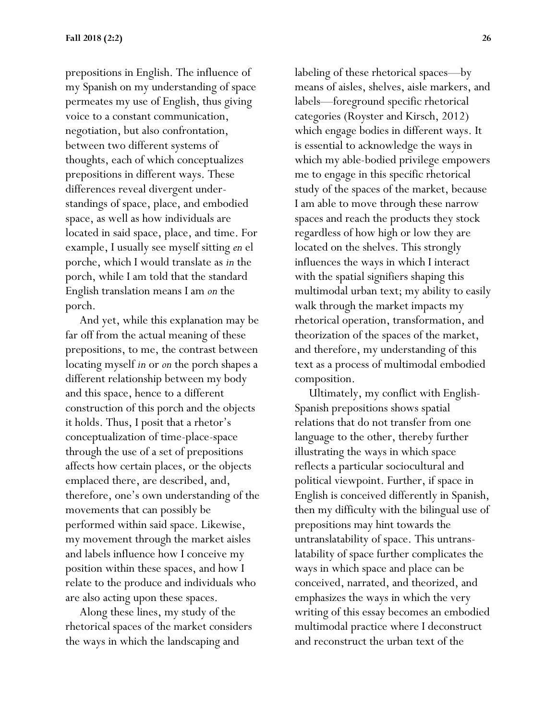prepositions in English. The influence of my Spanish on my understanding of space permeates my use of English, thus giving voice to a constant communication, negotiation, but also confrontation, between two different systems of thoughts, each of which conceptualizes prepositions in different ways. These differences reveal divergent understandings of space, place, and embodied space, as well as how individuals are located in said space, place, and time. For example, I usually see myself sitting *en* el porche, which I would translate as *in* the porch, while I am told that the standard English translation means I am *on* the porch.

 And yet, while this explanation may be far off from the actual meaning of these prepositions, to me, the contrast between locating myself *in* or *on* the porch shapes a different relationship between my body and this space, hence to a different construction of this porch and the objects it holds. Thus, I posit that a rhetor's conceptualization of time-place-space through the use of a set of prepositions affects how certain places, or the objects emplaced there, are described, and, therefore, one's own understanding of the movements that can possibly be performed within said space. Likewise, my movement through the market aisles and labels influence how I conceive my position within these spaces, and how I relate to the produce and individuals who are also acting upon these spaces.

 Along these lines, my study of the rhetorical spaces of the market considers the ways in which the landscaping and

labeling of these rhetorical spaces—by means of aisles, shelves, aisle markers, and labels—foreground specific rhetorical categories (Royster and Kirsch, 2012) which engage bodies in different ways. It is essential to acknowledge the ways in which my able-bodied privilege empowers me to engage in this specific rhetorical study of the spaces of the market, because I am able to move through these narrow spaces and reach the products they stock regardless of how high or low they are located on the shelves. This strongly influences the ways in which I interact with the spatial signifiers shaping this multimodal urban text; my ability to easily walk through the market impacts my rhetorical operation, transformation, and theorization of the spaces of the market, and therefore, my understanding of this text as a process of multimodal embodied composition.

 Ultimately, my conflict with English-Spanish prepositions shows spatial relations that do not transfer from one language to the other, thereby further illustrating the ways in which space reflects a particular sociocultural and political viewpoint. Further, if space in English is conceived differently in Spanish, then my difficulty with the bilingual use of prepositions may hint towards the untranslatability of space. This untranslatability of space further complicates the ways in which space and place can be conceived, narrated, and theorized, and emphasizes the ways in which the very writing of this essay becomes an embodied multimodal practice where I deconstruct and reconstruct the urban text of the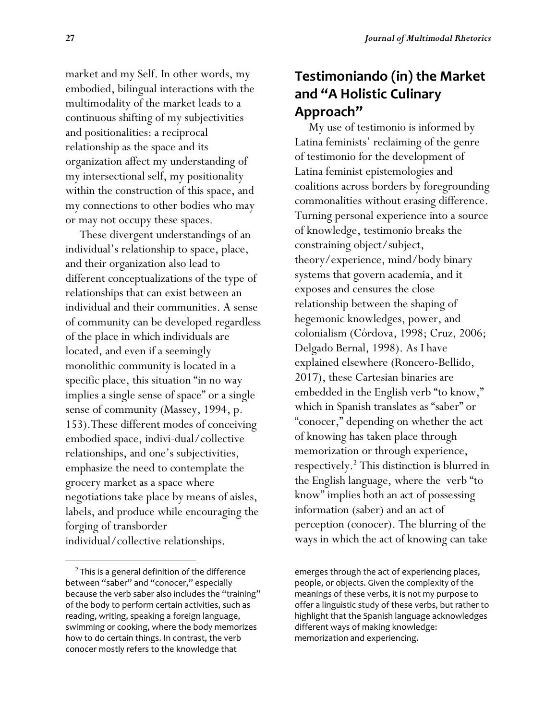market and my Self. In other words, my embodied, bilingual interactions with the multimodality of the market leads to a continuous shifting of my subjectivities and positionalities: a reciprocal relationship as the space and its organization affect my understanding of my intersectional self, my positionality within the construction of this space, and my connections to other bodies who may or may not occupy these spaces.

 These divergent understandings of an individual's relationship to space, place, and their organization also lead to different conceptualizations of the type of relationships that can exist between an individual and their communities. A sense of community can be developed regardless of the place in which individuals are located, and even if a seemingly monolithic community is located in a specific place, this situation "in no way implies a single sense of space" or a single sense of community (Massey, 1994, p. 153).These different modes of conceiving embodied space, indivi-dual/collective relationships, and one's subjectivities, emphasize the need to contemplate the grocery market as a space where negotiations take place by means of aisles, labels, and produce while encouraging the forging of transborder individual/collective relationships.

# **Testimoniando (in) the Market and "A Holistic Culinary Approach"**

 My use of testimonio is informed by Latina feminists' reclaiming of the genre of testimonio for the development of Latina feminist epistemologies and coalitions across borders by foregrounding commonalities without erasing difference. Turning personal experience into a source of knowledge, testimonio breaks the constraining object/subject, theory/experience, mind/body binary systems that govern academia, and it exposes and censures the close relationship between the shaping of hegemonic knowledges, power, and colonialism (Córdova, 1998; Cruz, 2006; Delgado Bernal, 1998). As I have explained elsewhere (Roncero-Bellido, 2017), these Cartesian binaries are embedded in the English verb "to know," which in Spanish translates as "saber" or "conocer," depending on whether the act of knowing has taken place through memorization or through experience, respectively.<sup>2</sup> This distinction is blurred in the English language, where the verb "to know" implies both an act of possessing information (saber) and an act of perception (conocer). The blurring of the ways in which the act of knowing can take

 $2$  This is a general definition of the difference between "saber" and "conocer," especially because the verb saber also includes the "training" of the body to perform certain activities, such as reading, writing, speaking a foreign language, swimming or cooking, where the body memorizes how to do certain things. In contrast, the verb conocer mostly refers to the knowledge that

emerges through the act of experiencing places, people, or objects. Given the complexity of the meanings of these verbs, it is not my purpose to offer a linguistic study of these verbs, but rather to highlight that the Spanish language acknowledges different ways of making knowledge: memorization and experiencing.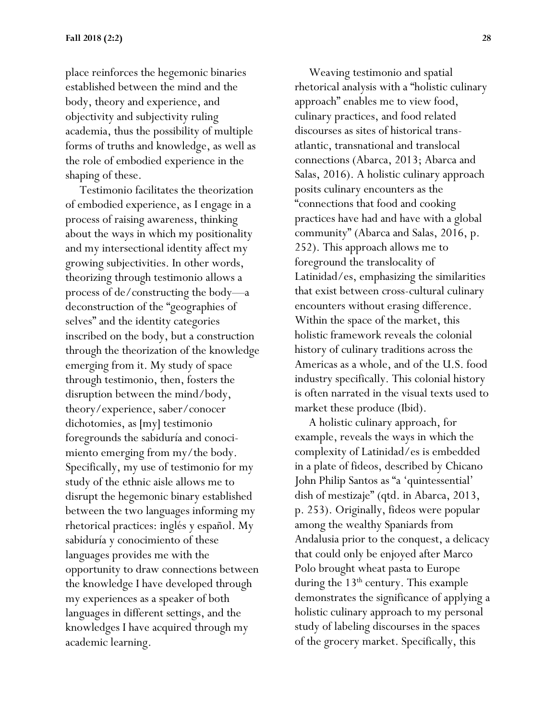place reinforces the hegemonic binaries established between the mind and the body, theory and experience, and objectivity and subjectivity ruling academia, thus the possibility of multiple forms of truths and knowledge, as well as the role of embodied experience in the shaping of these.

 Testimonio facilitates the theorization of embodied experience, as I engage in a process of raising awareness, thinking about the ways in which my positionality and my intersectional identity affect my growing subjectivities. In other words, theorizing through testimonio allows a process of de/constructing the body—a deconstruction of the "geographies of selves" and the identity categories inscribed on the body, but a construction through the theorization of the knowledge emerging from it. My study of space through testimonio, then, fosters the disruption between the mind/body, theory/experience, saber/conocer dichotomies, as [my] testimonio foregrounds the sabiduría and conocimiento emerging from my/the body. Specifically, my use of testimonio for my study of the ethnic aisle allows me to disrupt the hegemonic binary established between the two languages informing my rhetorical practices: inglés y español. My sabiduría y conocimiento of these languages provides me with the opportunity to draw connections between the knowledge I have developed through my experiences as a speaker of both languages in different settings, and the knowledges I have acquired through my academic learning.

 Weaving testimonio and spatial rhetorical analysis with a "holistic culinary approach" enables me to view food, culinary practices, and food related discourses as sites of historical transatlantic, transnational and translocal connections (Abarca, 2013; Abarca and Salas, 2016). A holistic culinary approach posits culinary encounters as the "connections that food and cooking practices have had and have with a global community" (Abarca and Salas, 2016, p. 252). This approach allows me to foreground the translocality of Latinidad/es, emphasizing the similarities that exist between cross-cultural culinary encounters without erasing difference. Within the space of the market, this holistic framework reveals the colonial history of culinary traditions across the Americas as a whole, and of the U.S. food industry specifically. This colonial history is often narrated in the visual texts used to market these produce (Ibid).

 A holistic culinary approach, for example, reveals the ways in which the complexity of Latinidad/es is embedded in a plate of fideos, described by Chicano John Philip Santos as "a 'quintessential' dish of mestizaje" (qtd. in Abarca, 2013, p. 253). Originally, fideos were popular among the wealthy Spaniards from Andalusia prior to the conquest, a delicacy that could only be enjoyed after Marco Polo brought wheat pasta to Europe during the  $13<sup>th</sup>$  century. This example demonstrates the significance of applying a holistic culinary approach to my personal study of labeling discourses in the spaces of the grocery market. Specifically, this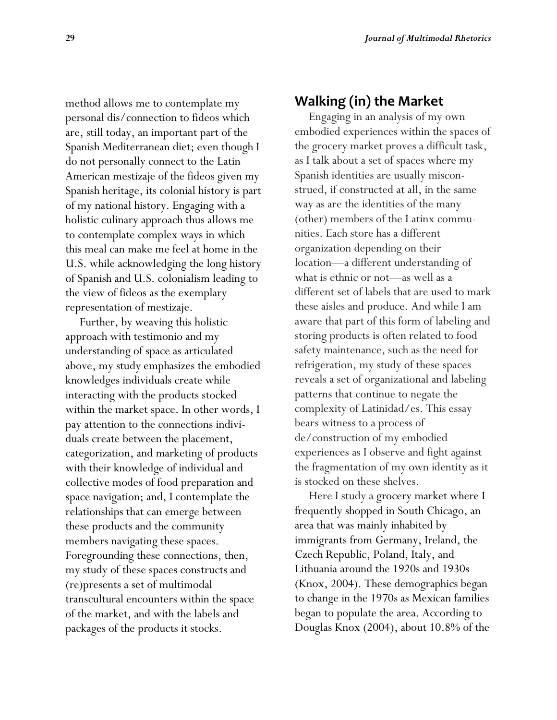method allows me to contemplate my personal dis/connection to fideos which are, still today, an important part of the Spanish Mediterranean diet; even though I do not personally connect to the Latin American mestizaje of the fideos given my Spanish heritage, its colonial history is part of my national history. Engaging with a holistic culinary approach thus allows me to contemplate complex ways in which this meal can make me feel at home in the U.S. while acknowledging the long history of Spanish and U.S. colonialism leading to the view of fideos as the exemplary representation of mestizaje.

 Further, by weaving this holistic approach with testimonio and my understanding of space as articulated above, my study emphasizes the embodied knowledges individuals create while interacting with the products stocked within the market space. In other words, I pay attention to the connections individuals create between the placement, categorization, and marketing of products with their knowledge of individual and collective modes of food preparation and space navigation; and, I contemplate the relationships that can emerge between these products and the community members navigating these spaces. Foregrounding these connections, then, my study of these spaces constructs and (re)presents a set of multimodal transcultural encounters within the space of the market, and with the labels and packages of the products it stocks.

## **Walking (in) the Market**

 Engaging in an analysis of my own embodied experiences within the spaces of the grocery market proves a difficult task, as I talk about a set of spaces where my Spanish identities are usually misconstrued, if constructed at all, in the same way as are the identities of the many (other) members of the Latinx communities. Each store has a different organization depending on their location—a different understanding of what is ethnic or not—as well as a different set of labels that are used to mark these aisles and produce. And while I am aware that part of this form of labeling and storing products is often related to food safety maintenance, such as the need for refrigeration, my study of these spaces reveals a set of organizational and labeling patterns that continue to negate the complexity of Latinidad/es. This essay bears witness to a process of de/construction of my embodied experiences as I observe and fight against the fragmentation of my own identity as it is stocked on these shelves.

 Here I study a grocery market where I frequently shopped in South Chicago, an area that was mainly inhabited by immigrants from Germany, Ireland, the Czech Republic, Poland, Italy, and Lithuania around the 1920s and 1930s (Knox, 2004). These demographics began to change in the 1970s as Mexican families began to populate the area. According to Douglas Knox (2004), about 10.8% of the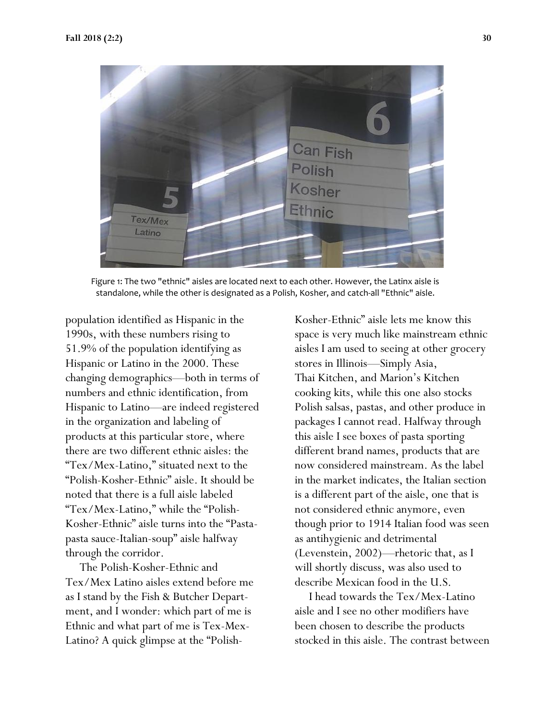

Figure 1: The two "ethnic" aisles are located next to each other. However, the Latinx aisle is standalone, while the other is designated as a Polish, Kosher, and catch-all "Ethnic" aisle.

population identified as Hispanic in the 1990s, with these numbers rising to 51.9% of the population identifying as Hispanic or Latino in the 2000. These changing demographics—both in terms of numbers and ethnic identification, from Hispanic to Latino—are indeed registered in the organization and labeling of products at this particular store, where there are two different ethnic aisles: the "Tex/Mex-Latino," situated next to the "Polish-Kosher-Ethnic" aisle. It should be noted that there is a full aisle labeled "Tex/Mex-Latino," while the "Polish-Kosher-Ethnic" aisle turns into the "Pastapasta sauce-Italian-soup" aisle halfway through the corridor.

 The Polish-Kosher-Ethnic and Tex/Mex Latino aisles extend before me as I stand by the Fish & Butcher Department, and I wonder: which part of me is Ethnic and what part of me is Tex-Mex-Latino? A quick glimpse at the "PolishKosher-Ethnic" aisle lets me know this space is very much like mainstream ethnic aisles I am used to seeing at other grocery stores in Illinois—Simply Asia, Thai Kitchen, and Marion's Kitchen cooking kits, while this one also stocks Polish salsas, pastas, and other produce in packages I cannot read. Halfway through this aisle I see boxes of pasta sporting different brand names, products that are now considered mainstream. As the label in the market indicates, the Italian section is a different part of the aisle, one that is not considered ethnic anymore, even though prior to 1914 Italian food was seen as antihygienic and detrimental (Levenstein, 2002)—rhetoric that, as I will shortly discuss, was also used to describe Mexican food in the U.S.

 I head towards the Tex/Mex-Latino aisle and I see no other modifiers have been chosen to describe the products stocked in this aisle. The contrast between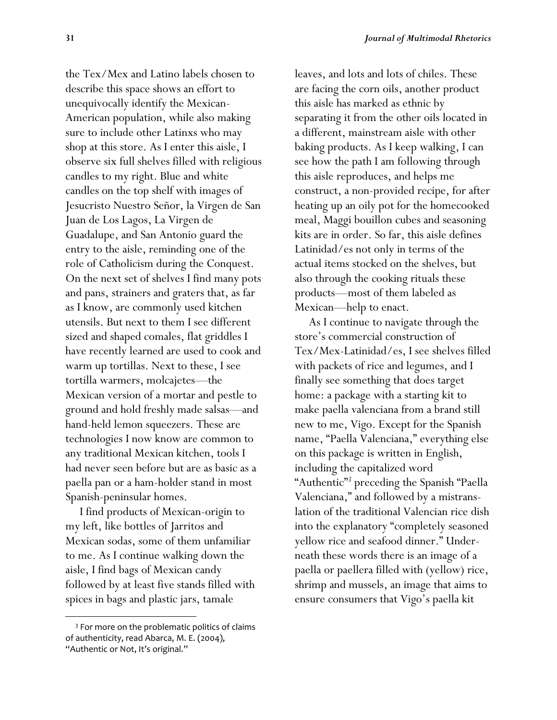the Tex/Mex and Latino labels chosen to describe this space shows an effort to unequivocally identify the Mexican-American population, while also making sure to include other Latinxs who may shop at this store. As I enter this aisle, I observe six full shelves filled with religious candles to my right. Blue and white candles on the top shelf with images of Jesucristo Nuestro Señor, la Virgen de San Juan de Los Lagos, La Virgen de Guadalupe, and San Antonio guard the entry to the aisle, reminding one of the role of Catholicism during the Conquest. On the next set of shelves I find many pots and pans, strainers and graters that, as far as I know, are commonly used kitchen utensils. But next to them I see different sized and shaped comales, flat griddles I have recently learned are used to cook and warm up tortillas. Next to these, I see tortilla warmers, molcajetes—the Mexican version of a mortar and pestle to ground and hold freshly made salsas—and hand-held lemon squeezers. These are technologies I now know are common to any traditional Mexican kitchen, tools I had never seen before but are as basic as a paella pan or a ham-holder stand in most Spanish-peninsular homes.

 I find products of Mexican-origin to my left, like bottles of Jarritos and Mexican sodas, some of them unfamiliar to me. As I continue walking down the aisle, I find bags of Mexican candy followed by at least five stands filled with spices in bags and plastic jars, tamale

leaves, and lots and lots of chiles. These are facing the corn oils, another product this aisle has marked as ethnic by separating it from the other oils located in a different, mainstream aisle with other baking products. As I keep walking, I can see how the path I am following through this aisle reproduces, and helps me construct, a non-provided recipe, for after heating up an oily pot for the homecooked meal, Maggi bouillon cubes and seasoning kits are in order. So far, this aisle defines Latinidad/es not only in terms of the actual items stocked on the shelves, but also through the cooking rituals these products—most of them labeled as Mexican—help to enact.

 As I continue to navigate through the store's commercial construction of Tex/Mex-Latinidad/es, I see shelves filled with packets of rice and legumes, and I finally see something that does target home: a package with a starting kit to make paella valenciana from a brand still new to me, Vigo. Except for the Spanish name, "Paella Valenciana," everything else on this package is written in English, including the capitalized word "Authentic" *<sup>3</sup>* preceding the Spanish "Paella Valenciana," and followed by a mistranslation of the traditional Valencian rice dish into the explanatory "completely seasoned yellow rice and seafood dinner." Underneath these words there is an image of a paella or paellera filled with (yellow) rice, shrimp and mussels, an image that aims to ensure consumers that Vigo's paella kit

<sup>&</sup>lt;sup>3</sup> For more on the problematic politics of claims of authenticity, read Abarca, M. E. (2004), "Authentic or Not, It's original."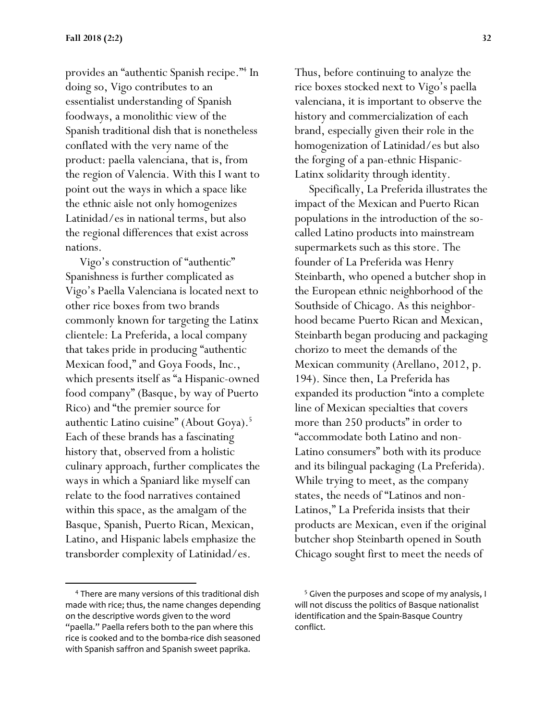provides an "authentic Spanish recipe."<sup>4</sup> In doing so, Vigo contributes to an essentialist understanding of Spanish foodways, a monolithic view of the Spanish traditional dish that is nonetheless conflated with the very name of the product: paella valenciana, that is, from the region of Valencia. With this I want to point out the ways in which a space like the ethnic aisle not only homogenizes Latinidad/es in national terms, but also the regional differences that exist across nations.

 Vigo's construction of "authentic" Spanishness is further complicated as Vigo's Paella Valenciana is located next to other rice boxes from two brands commonly known for targeting the Latinx clientele: La Preferida, a local company that takes pride in producing "authentic Mexican food," and Goya Foods, Inc., which presents itself as "a Hispanic-owned food company" (Basque, by way of Puerto Rico) and "the premier source for authentic Latino cuisine" (About Goya).<sup>5</sup> Each of these brands has a fascinating history that, observed from a holistic culinary approach, further complicates the ways in which a Spaniard like myself can relate to the food narratives contained within this space, as the amalgam of the Basque, Spanish, Puerto Rican, Mexican, Latino, and Hispanic labels emphasize the transborder complexity of Latinidad/es.

Thus, before continuing to analyze the rice boxes stocked next to Vigo's paella valenciana, it is important to observe the history and commercialization of each brand, especially given their role in the homogenization of Latinidad/es but also the forging of a pan-ethnic Hispanic-Latinx solidarity through identity.

 Specifically, La Preferida illustrates the impact of the Mexican and Puerto Rican populations in the introduction of the socalled Latino products into mainstream supermarkets such as this store. The founder of La Preferida was Henry Steinbarth, who opened a butcher shop in the European ethnic neighborhood of the Southside of Chicago. As this neighborhood became Puerto Rican and Mexican, Steinbarth began producing and packaging chorizo to meet the demands of the Mexican community (Arellano, 2012, p. 194). Since then, La Preferida has expanded its production "into a complete line of Mexican specialties that covers more than 250 products" in order to "accommodate both Latino and non-Latino consumers" both with its produce and its bilingual packaging (La Preferida). While trying to meet, as the company states, the needs of "Latinos and non-Latinos," La Preferida insists that their products are Mexican, even if the original butcher shop Steinbarth opened in South Chicago sought first to meet the needs of

<sup>4</sup> There are many versions of this traditional dish made with rice; thus, the name changes depending on the descriptive words given to the word "paella." Paella refers both to the pan where this rice is cooked and to the bomba-rice dish seasoned with Spanish saffron and Spanish sweet paprika.

<sup>5</sup> Given the purposes and scope of my analysis, I will not discuss the politics of Basque nationalist identification and the Spain-Basque Country conflict.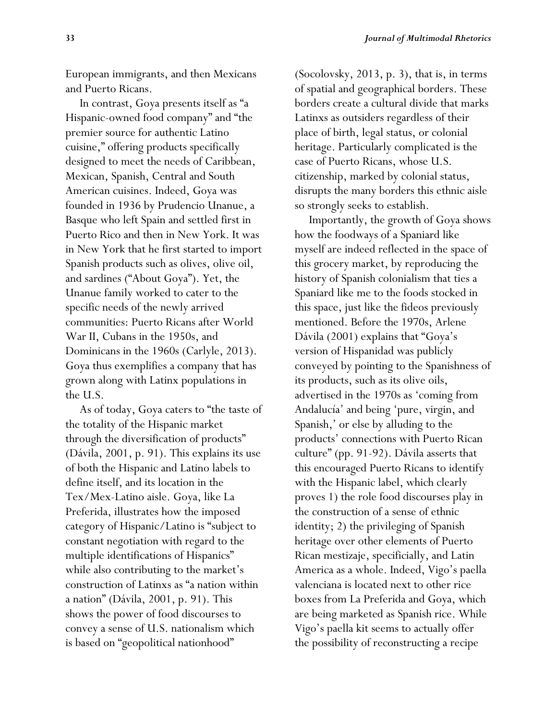European immigrants, and then Mexicans and Puerto Ricans.

 In contrast, Goya presents itself as "a Hispanic-owned food company" and "the premier source for authentic Latino cuisine," offering products specifically designed to meet the needs of Caribbean, Mexican, Spanish, Central and South American cuisines. Indeed, Goya was founded in 1936 by Prudencio Unanue, a Basque who left Spain and settled first in Puerto Rico and then in New York. It was in New York that he first started to import Spanish products such as olives, olive oil, and sardines ("About Goya"). Yet, the Unanue family worked to cater to the specific needs of the newly arrived communities: Puerto Ricans after World War II, Cubans in the 1950s, and Dominicans in the 1960s (Carlyle, 2013). Goya thus exemplifies a company that has grown along with Latinx populations in the U.S.

 As of today, Goya caters to "the taste of the totality of the Hispanic market through the diversification of products" (Dávila, 2001, p. 91). This explains its use of both the Hispanic and Latino labels to define itself, and its location in the Tex/Mex-Latino aisle. Goya, like La Preferida, illustrates how the imposed category of Hispanic/Latino is "subject to constant negotiation with regard to the multiple identifications of Hispanics" while also contributing to the market's construction of Latinxs as "a nation within a nation" (Dávila, 2001, p. 91). This shows the power of food discourses to convey a sense of U.S. nationalism which is based on "geopolitical nationhood"

(Socolovsky, 2013, p. 3), that is, in terms of spatial and geographical borders. These borders create a cultural divide that marks Latinxs as outsiders regardless of their place of birth, legal status, or colonial heritage. Particularly complicated is the case of Puerto Ricans, whose U.S. citizenship, marked by colonial status, disrupts the many borders this ethnic aisle so strongly seeks to establish.

 Importantly, the growth of Goya shows how the foodways of a Spaniard like myself are indeed reflected in the space of this grocery market, by reproducing the history of Spanish colonialism that ties a Spaniard like me to the foods stocked in this space, just like the fideos previously mentioned. Before the 1970s, Arlene Dávila (2001) explains that "Goya's version of Hispanidad was publicly conveyed by pointing to the Spanishness of its products, such as its olive oils, advertised in the 1970s as 'coming from Andalucía' and being 'pure, virgin, and Spanish,' or else by alluding to the products' connections with Puerto Rican culture" (pp. 91-92). Dávila asserts that this encouraged Puerto Ricans to identify with the Hispanic label, which clearly proves 1) the role food discourses play in the construction of a sense of ethnic identity; 2) the privileging of Spanish heritage over other elements of Puerto Rican mestizaje, specificially, and Latin America as a whole. Indeed, Vigo's paella valenciana is located next to other rice boxes from La Preferida and Goya, which are being marketed as Spanish rice. While Vigo's paella kit seems to actually offer the possibility of reconstructing a recipe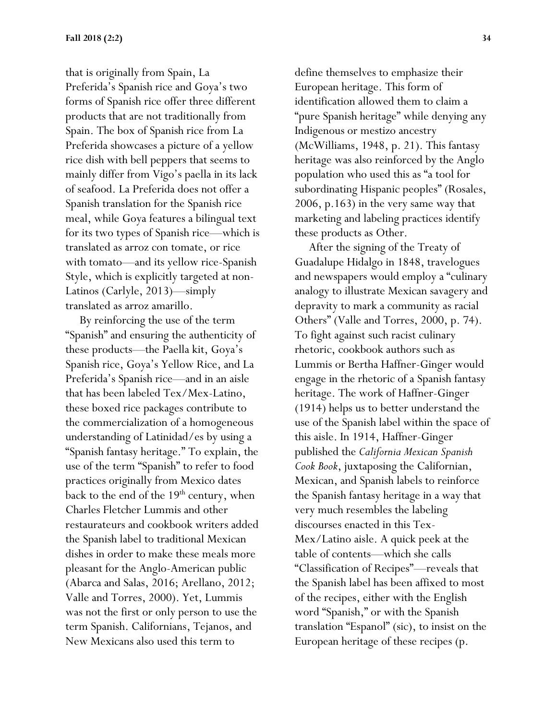that is originally from Spain, La Preferida's Spanish rice and Goya's two forms of Spanish rice offer three different products that are not traditionally from Spain. The box of Spanish rice from La Preferida showcases a picture of a yellow rice dish with bell peppers that seems to mainly differ from Vigo's paella in its lack of seafood. La Preferida does not offer a Spanish translation for the Spanish rice meal, while Goya features a bilingual text for its two types of Spanish rice—which is translated as arroz con tomate, or rice with tomato—and its yellow rice-Spanish Style, which is explicitly targeted at non-Latinos (Carlyle, 2013)—simply translated as arroz amarillo.

 By reinforcing the use of the term "Spanish" and ensuring the authenticity of these products—the Paella kit, Goya's Spanish rice, Goya's Yellow Rice, and La Preferida's Spanish rice—and in an aisle that has been labeled Tex/Mex-Latino, these boxed rice packages contribute to the commercialization of a homogeneous understanding of Latinidad/es by using a "Spanish fantasy heritage." To explain, the use of the term "Spanish" to refer to food practices originally from Mexico dates back to the end of the  $19<sup>th</sup>$  century, when Charles Fletcher Lummis and other restaurateurs and cookbook writers added the Spanish label to traditional Mexican dishes in order to make these meals more pleasant for the Anglo-American public (Abarca and Salas, 2016; Arellano, 2012; Valle and Torres, 2000). Yet, Lummis was not the first or only person to use the term Spanish. Californians, Tejanos, and New Mexicans also used this term to

define themselves to emphasize their European heritage. This form of identification allowed them to claim a "pure Spanish heritage" while denying any Indigenous or mestizo ancestry (McWilliams, 1948, p. 21). This fantasy heritage was also reinforced by the Anglo population who used this as "a tool for subordinating Hispanic peoples" (Rosales, 2006, p.163) in the very same way that marketing and labeling practices identify these products as Other.

 After the signing of the Treaty of Guadalupe Hidalgo in 1848, travelogues and newspapers would employ a "culinary analogy to illustrate Mexican savagery and depravity to mark a community as racial Others" (Valle and Torres, 2000, p. 74). To fight against such racist culinary rhetoric, cookbook authors such as Lummis or Bertha Haffner-Ginger would engage in the rhetoric of a Spanish fantasy heritage. The work of Haffner-Ginger (1914) helps us to better understand the use of the Spanish label within the space of this aisle. In 1914, Haffner-Ginger published the *California Mexican Spanish Cook Book*, juxtaposing the Californian, Mexican, and Spanish labels to reinforce the Spanish fantasy heritage in a way that very much resembles the labeling discourses enacted in this Tex-Mex/Latino aisle. A quick peek at the table of contents—which she calls "Classification of Recipes"—reveals that the Spanish label has been affixed to most of the recipes, either with the English word "Spanish," or with the Spanish translation "Espanol" (sic), to insist on the European heritage of these recipes (p.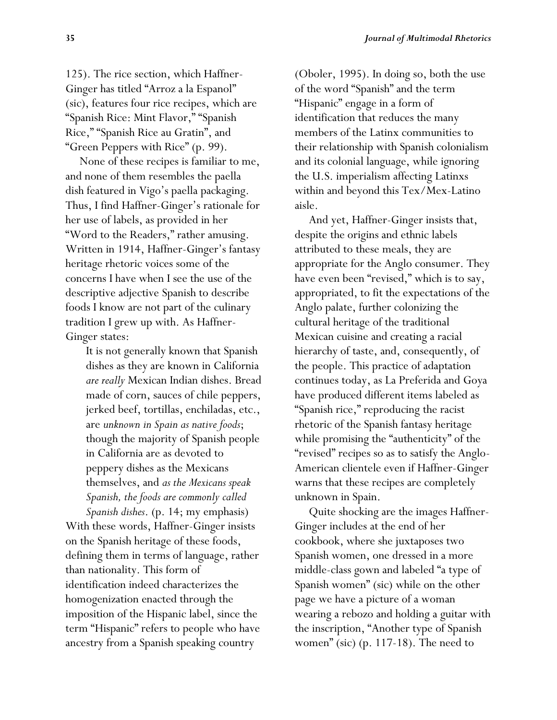125). The rice section, which Haffner-Ginger has titled "Arroz a la Espanol" (sic), features four rice recipes, which are "Spanish Rice: Mint Flavor," "Spanish Rice," "Spanish Rice au Gratin", and "Green Peppers with Rice" (p. 99).

 None of these recipes is familiar to me, and none of them resembles the paella dish featured in Vigo's paella packaging. Thus, I find Haffner-Ginger's rationale for her use of labels, as provided in her "Word to the Readers," rather amusing. Written in 1914, Haffner-Ginger's fantasy heritage rhetoric voices some of the concerns I have when I see the use of the descriptive adjective Spanish to describe foods I know are not part of the culinary tradition I grew up with. As Haffner-Ginger states:

> It is not generally known that Spanish dishes as they are known in California *are really* Mexican Indian dishes. Bread made of corn, sauces of chile peppers, jerked beef, tortillas, enchiladas, etc., are *unknown in Spain as native foods*; though the majority of Spanish people in California are as devoted to peppery dishes as the Mexicans themselves, and *as the Mexicans speak Spanish, the foods are commonly called Spanish dishes*. (p. 14; my emphasis)

With these words, Haffner-Ginger insists on the Spanish heritage of these foods, defining them in terms of language, rather than nationality. This form of identification indeed characterizes the homogenization enacted through the imposition of the Hispanic label, since the term "Hispanic" refers to people who have ancestry from a Spanish speaking country

(Oboler, 1995). In doing so, both the use of the word "Spanish" and the term "Hispanic" engage in a form of identification that reduces the many members of the Latinx communities to their relationship with Spanish colonialism and its colonial language, while ignoring the U.S. imperialism affecting Latinxs within and beyond this Tex/Mex-Latino aisle.

 And yet, Haffner-Ginger insists that, despite the origins and ethnic labels attributed to these meals, they are appropriate for the Anglo consumer. They have even been "revised," which is to say, appropriated, to fit the expectations of the Anglo palate, further colonizing the cultural heritage of the traditional Mexican cuisine and creating a racial hierarchy of taste, and, consequently, of the people. This practice of adaptation continues today, as La Preferida and Goya have produced different items labeled as "Spanish rice," reproducing the racist rhetoric of the Spanish fantasy heritage while promising the "authenticity" of the "revised" recipes so as to satisfy the Anglo-American clientele even if Haffner-Ginger warns that these recipes are completely unknown in Spain.

 Quite shocking are the images Haffner-Ginger includes at the end of her cookbook, where she juxtaposes two Spanish women, one dressed in a more middle-class gown and labeled "a type of Spanish women" (sic) while on the other page we have a picture of a woman wearing a rebozo and holding a guitar with the inscription, "Another type of Spanish women" (sic) (p. 117-18). The need to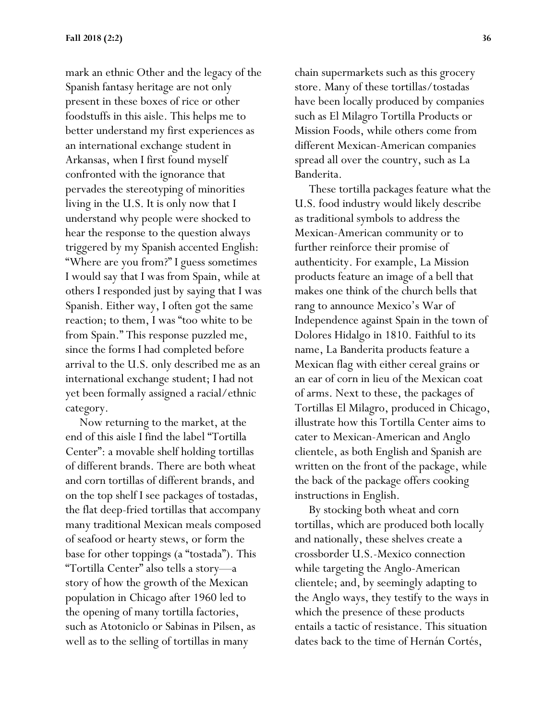mark an ethnic Other and the legacy of the Spanish fantasy heritage are not only present in these boxes of rice or other foodstuffs in this aisle. This helps me to better understand my first experiences as an international exchange student in Arkansas, when I first found myself confronted with the ignorance that pervades the stereotyping of minorities living in the U.S. It is only now that I understand why people were shocked to hear the response to the question always triggered by my Spanish accented English: "Where are you from?" I guess sometimes I would say that I was from Spain, while at others I responded just by saying that I was Spanish. Either way, I often got the same reaction; to them, I was "too white to be from Spain." This response puzzled me, since the forms I had completed before arrival to the U.S. only described me as an international exchange student; I had not yet been formally assigned a racial/ethnic category.

 Now returning to the market, at the end of this aisle I find the label "Tortilla Center": a movable shelf holding tortillas of different brands. There are both wheat and corn tortillas of different brands, and on the top shelf I see packages of tostadas, the flat deep-fried tortillas that accompany many traditional Mexican meals composed of seafood or hearty stews, or form the base for other toppings (a "tostada"). This "Tortilla Center" also tells a story—a story of how the growth of the Mexican population in Chicago after 1960 led to the opening of many tortilla factories, such as Atotoniclo or Sabinas in Pilsen, as well as to the selling of tortillas in many

chain supermarkets such as this grocery store. Many of these tortillas/tostadas have been locally produced by companies such as El Milagro Tortilla Products or Mission Foods, while others come from different Mexican-American companies spread all over the country, such as La Banderita.

 These tortilla packages feature what the U.S. food industry would likely describe as traditional symbols to address the Mexican-American community or to further reinforce their promise of authenticity. For example, La Mission products feature an image of a bell that makes one think of the church bells that rang to announce Mexico's War of Independence against Spain in the town of Dolores Hidalgo in 1810. Faithful to its name, La Banderita products feature a Mexican flag with either cereal grains or an ear of corn in lieu of the Mexican coat of arms. Next to these, the packages of Tortillas El Milagro, produced in Chicago, illustrate how this Tortilla Center aims to cater to Mexican-American and Anglo clientele, as both English and Spanish are written on the front of the package, while the back of the package offers cooking instructions in English.

 By stocking both wheat and corn tortillas, which are produced both locally and nationally, these shelves create a crossborder U.S.-Mexico connection while targeting the Anglo-American clientele; and, by seemingly adapting to the Anglo ways, they testify to the ways in which the presence of these products entails a tactic of resistance. This situation dates back to the time of Hernán Cortés,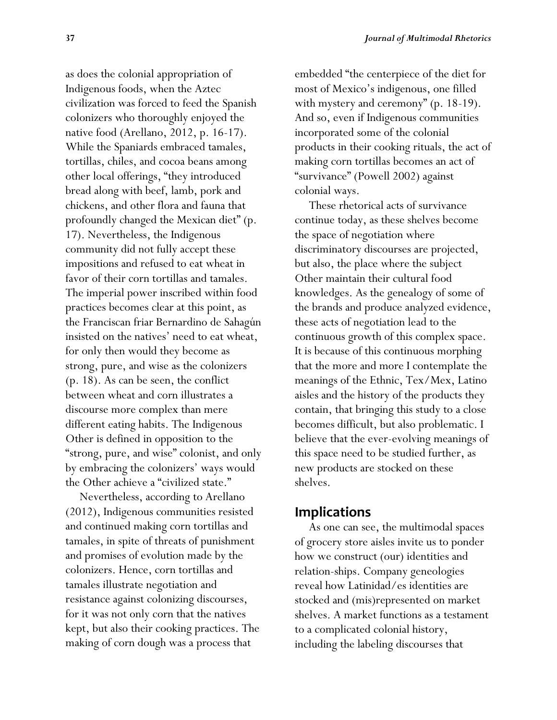as does the colonial appropriation of Indigenous foods, when the Aztec civilization was forced to feed the Spanish colonizers who thoroughly enjoyed the native food (Arellano, 2012, p. 16-17). While the Spaniards embraced tamales, tortillas, chiles, and cocoa beans among other local offerings, "they introduced bread along with beef, lamb, pork and chickens, and other flora and fauna that profoundly changed the Mexican diet" (p. 17). Nevertheless, the Indigenous community did not fully accept these impositions and refused to eat wheat in favor of their corn tortillas and tamales. The imperial power inscribed within food practices becomes clear at this point, as the Franciscan friar Bernardino de Sahagún insisted on the natives' need to eat wheat, for only then would they become as strong, pure, and wise as the colonizers (p. 18). As can be seen, the conflict between wheat and corn illustrates a discourse more complex than mere different eating habits. The Indigenous Other is defined in opposition to the "strong, pure, and wise" colonist, and only by embracing the colonizers' ways would the Other achieve a "civilized state."

 Nevertheless, according to Arellano (2012), Indigenous communities resisted and continued making corn tortillas and tamales, in spite of threats of punishment and promises of evolution made by the colonizers. Hence, corn tortillas and tamales illustrate negotiation and resistance against colonizing discourses, for it was not only corn that the natives kept, but also their cooking practices. The making of corn dough was a process that

embedded "the centerpiece of the diet for most of Mexico's indigenous, one filled with mystery and ceremony" (p. 18-19). And so, even if Indigenous communities incorporated some of the colonial products in their cooking rituals, the act of making corn tortillas becomes an act of "survivance" (Powell 2002) against colonial ways.

 These rhetorical acts of survivance continue today, as these shelves become the space of negotiation where discriminatory discourses are projected, but also, the place where the subject Other maintain their cultural food knowledges. As the genealogy of some of the brands and produce analyzed evidence, these acts of negotiation lead to the continuous growth of this complex space. It is because of this continuous morphing that the more and more I contemplate the meanings of the Ethnic, Tex/Mex, Latino aisles and the history of the products they contain, that bringing this study to a close becomes difficult, but also problematic. I believe that the ever-evolving meanings of this space need to be studied further, as new products are stocked on these shelves.

#### **Implications**

 As one can see, the multimodal spaces of grocery store aisles invite us to ponder how we construct (our) identities and relation-ships. Company geneologies reveal how Latinidad/es identities are stocked and (mis)represented on market shelves. A market functions as a testament to a complicated colonial history, including the labeling discourses that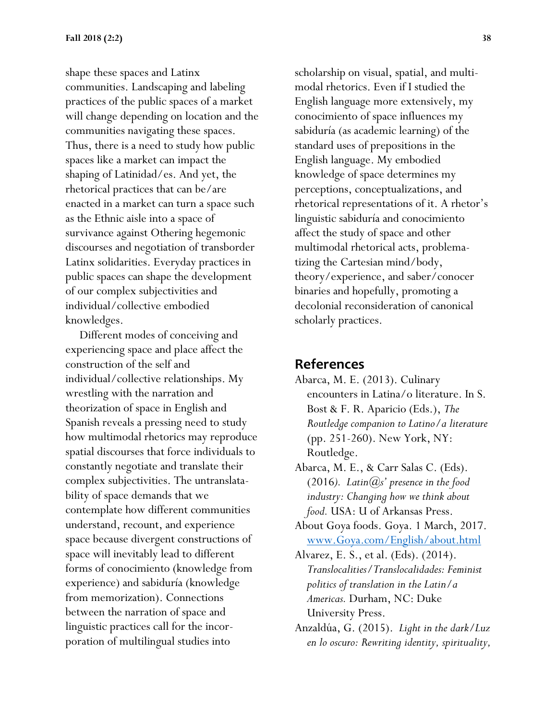shape these spaces and Latinx communities. Landscaping and labeling practices of the public spaces of a market will change depending on location and the communities navigating these spaces. Thus, there is a need to study how public spaces like a market can impact the shaping of Latinidad/es. And yet, the rhetorical practices that can be/are enacted in a market can turn a space such as the Ethnic aisle into a space of survivance against Othering hegemonic discourses and negotiation of transborder Latinx solidarities. Everyday practices in public spaces can shape the development of our complex subjectivities and individual/collective embodied knowledges.

 Different modes of conceiving and experiencing space and place affect the construction of the self and individual/collective relationships. My wrestling with the narration and theorization of space in English and Spanish reveals a pressing need to study how multimodal rhetorics may reproduce spatial discourses that force individuals to constantly negotiate and translate their complex subjectivities. The untranslatability of space demands that we contemplate how different communities understand, recount, and experience space because divergent constructions of space will inevitably lead to different forms of conocimiento (knowledge from experience) and sabiduría (knowledge from memorization). Connections between the narration of space and linguistic practices call for the incorporation of multilingual studies into

scholarship on visual, spatial, and multimodal rhetorics. Even if I studied the English language more extensively, my conocimiento of space influences my sabiduría (as academic learning) of the standard uses of prepositions in the English language. My embodied knowledge of space determines my perceptions, conceptualizations, and rhetorical representations of it. A rhetor's linguistic sabiduría and conocimiento affect the study of space and other multimodal rhetorical acts, problematizing the Cartesian mind/body, theory/experience, and saber/conocer binaries and hopefully, promoting a decolonial reconsideration of canonical scholarly practices.

### **References**

- Abarca, M. E. (2013). Culinary encounters in Latina/o literature. In S. Bost & F. R. Aparicio (Eds.), *The Routledge companion to Latino/a literature* (pp. 251-260). New York, NY: Routledge.
- Abarca, M. E., & Carr Salas C. (Eds). (2016*). Latin@s' presence in the food industry: Changing how we think about food.* USA: U of Arkansas Press.
- About Goya foods. Goya. 1 March, 2017. [www.Goya.com/English/about.html](http://www.goya.com/English/about.html)
- Alvarez, E. S., et al. (Eds). (2014). *Translocalities/Translocalidades: Feminist politics of translation in the Latin/a Americas.* Durham, NC: Duke University Press.
- Anzaldúa, G. (2015). *Light in the dark/Luz en lo oscuro: Rewriting identity, spirituality,*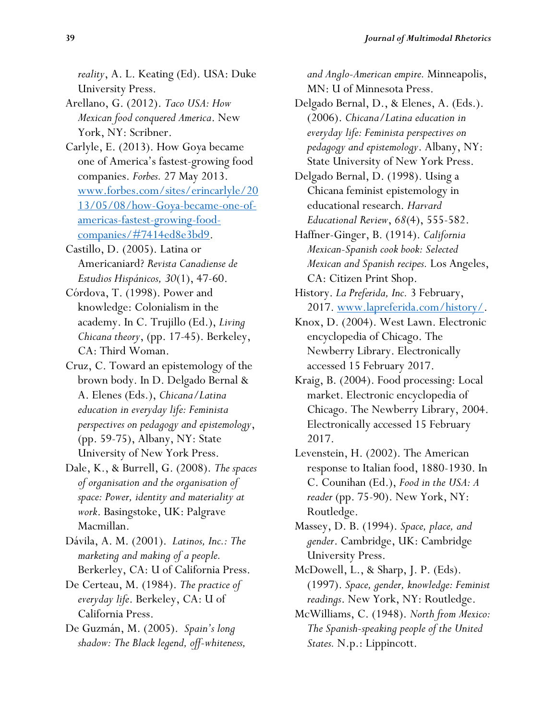*reality*, A. L. Keating (Ed). USA: Duke University Press.

- Arellano, G. (2012). *Taco USA: How Mexican food conquered America*. New York, NY: Scribner.
- Carlyle, E. (2013). How Goya became one of America's fastest-growing food companies. *Forbes.* 27 May 2013. [www.forbes.com/sites/erincarlyle/20](http://www.forbes.com/sites/erincarlyle/2013/05/08/how-Goya-became-one-of-americas-fastest-growing-food-companies/#7414ed8e3bd9) [13/05/08/how-Goya-became-one-of](http://www.forbes.com/sites/erincarlyle/2013/05/08/how-Goya-became-one-of-americas-fastest-growing-food-companies/#7414ed8e3bd9)[americas-fastest-growing-food](http://www.forbes.com/sites/erincarlyle/2013/05/08/how-Goya-became-one-of-americas-fastest-growing-food-companies/#7414ed8e3bd9)[companies/#7414ed8e3bd9.](http://www.forbes.com/sites/erincarlyle/2013/05/08/how-Goya-became-one-of-americas-fastest-growing-food-companies/#7414ed8e3bd9)
- Castillo, D. (2005). Latina or Americaniard? *Revista Canadiense de Estudios Hispánicos, 30*(1), 47-60.
- Córdova, T. (1998). Power and knowledge: Colonialism in the academy. In C. Trujillo (Ed.), *Living Chicana theory*, (pp. 17-45). Berkeley, CA: Third Woman.
- Cruz, C. Toward an epistemology of the brown body. In D. Delgado Bernal & A. Elenes (Eds.), *Chicana/Latina education in everyday life: Feminista perspectives on pedagogy and epistemology*, (pp. 59-75), Albany, NY: State University of New York Press.
- Dale, K., & Burrell, G. (2008). *The spaces of organisation and the organisation of space: Power, identity and materiality at work*. Basingstoke, UK: Palgrave Macmillan.
- Dávila, A. M. (2001). *Latinos, Inc.: The marketing and making of a people.* Berkerley, CA: U of California Press.
- De Certeau, M. (1984). *The practice of everyday life*. Berkeley, CA: U of California Press.
- De Guzmán, M. (2005). *Spain's long shadow: The Black legend, off-whiteness,*

*and Anglo-American empire.* Minneapolis, MN: U of Minnesota Press.

- Delgado Bernal, D., & Elenes, A. (Eds.). (2006). *Chicana/Latina education in everyday life: Feminista perspectives on pedagogy and epistemology*. Albany, NY: State University of New York Press.
- Delgado Bernal, D. (1998). Using a Chicana feminist epistemology in educational research. *Harvard Educational Review*, *68*(4), 555-582.
- Haffner-Ginger, B. (1914). *California Mexican-Spanish cook book: Selected Mexican and Spanish recipes.* Los Angeles, CA: Citizen Print Shop.
- History. *La Preferida, Inc.* 3 February, 2017. [www.lapreferida.com/history/.](http://www.lapreferida.com/history/)
- Knox, D. (2004). West Lawn. Electronic encyclopedia of Chicago. The Newberry Library. Electronically accessed 15 February 2017.
- Kraig, B. (2004). Food processing: Local market. Electronic encyclopedia of Chicago. The Newberry Library, 2004. Electronically accessed 15 February 2017.
- Levenstein, H. (2002). The American response to Italian food, 1880-1930. In C. Counihan (Ed.), *Food in the USA: A reader* (pp. 75-90). New York, NY: Routledge.
- Massey, D. B. (1994). *Space, place, and gender*. Cambridge, UK: Cambridge University Press.
- McDowell, L., & Sharp, J. P. (Eds). (1997). *Space, gender, knowledge: Feminist readings*. New York, NY: Routledge.
- McWilliams, C. (1948). *North from Mexico: The Spanish-speaking people of the United States.* N.p.: Lippincott.